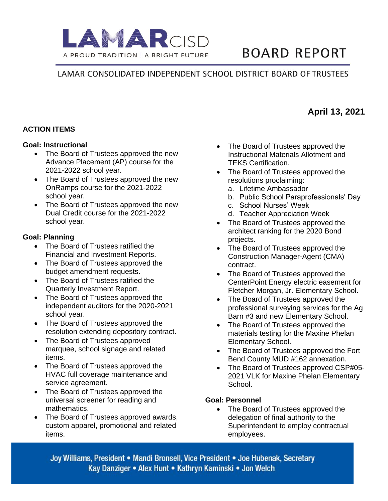

# **BOARD REPORT**

### LAMAR CONSOLIDATED INDEPENDENT SCHOOL DISTRICT BOARD OF TRUSTEES

### **ACTION ITEMS**

#### **Goal: Instructional**

- The Board of Trustees approved the new Advance Placement (AP) course for the 2021-2022 school year.
- The Board of Trustees approved the new OnRamps course for the 2021-2022 school year.
- The Board of Trustees approved the new Dual Credit course for the 2021-2022 school year.

### **Goal: Planning**

- The Board of Trustees ratified the Financial and Investment Reports.
- The Board of Trustees approved the budget amendment requests.
- The Board of Trustees ratified the Quarterly Investment Report.
- The Board of Trustees approved the independent auditors for the 2020-2021 school year.
- The Board of Trustees approved the resolution extending depository contract.
- The Board of Trustees approved marquee, school signage and related items.
- The Board of Trustees approved the HVAC full coverage maintenance and service agreement.
- The Board of Trustees approved the universal screener for reading and mathematics.
- The Board of Trustees approved awards, custom apparel, promotional and related items.
- The Board of Trustees approved the Instructional Materials Allotment and TEKS Certification.
- The Board of Trustees approved the resolutions proclaiming:
	- a. Lifetime Ambassador
	- b. Public School Paraprofessionals' Day
	- c. School Nurses' Week
	- d. Teacher Appreciation Week
- The Board of Trustees approved the architect ranking for the 2020 Bond projects.
- The Board of Trustees approved the Construction Manager-Agent (CMA) contract.
- The Board of Trustees approved the CenterPoint Energy electric easement for Fletcher Morgan, Jr. Elementary School.
- The Board of Trustees approved the professional surveying services for the Ag Barn #3 and new Elementary School.
- The Board of Trustees approved the materials testing for the Maxine Phelan Elementary School.
- The Board of Trustees approved the Fort Bend County MUD #162 annexation.
- The Board of Trustees approved CSP#05- 2021 VLK for Maxine Phelan Elementary School.

### **Goal: Personnel**

• The Board of Trustees approved the delegation of final authority to the Superintendent to employ contractual employees.

Joy Williams, President • Mandi Bronsell, Vice President • Joe Hubenak, Secretary Kay Danziger • Alex Hunt • Kathryn Kaminski • Jon Welch

## **April 13, 2021**